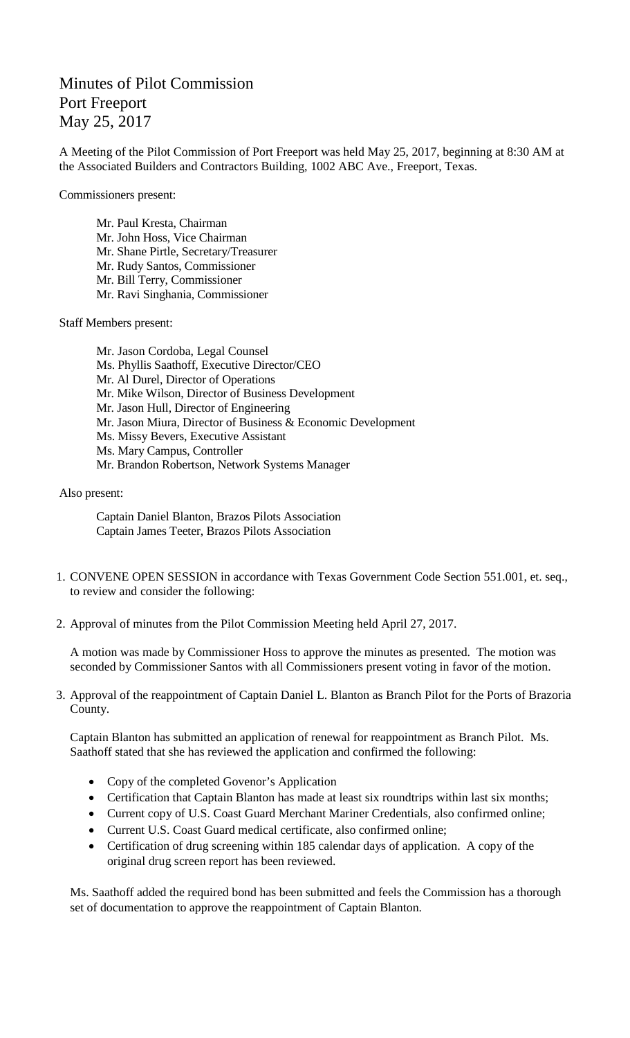## Minutes of Pilot Commission Port Freeport May 25, 2017

A Meeting of the Pilot Commission of Port Freeport was held May 25, 2017, beginning at 8:30 AM at the Associated Builders and Contractors Building, 1002 ABC Ave., Freeport, Texas.

Commissioners present:

Mr. Paul Kresta, Chairman Mr. John Hoss, Vice Chairman Mr. Shane Pirtle, Secretary/Treasurer Mr. Rudy Santos, Commissioner Mr. Bill Terry, Commissioner Mr. Ravi Singhania, Commissioner

Staff Members present:

Mr. Jason Cordoba, Legal Counsel Ms. Phyllis Saathoff, Executive Director/CEO Mr. Al Durel, Director of Operations Mr. Mike Wilson, Director of Business Development Mr. Jason Hull, Director of Engineering Mr. Jason Miura, Director of Business & Economic Development Ms. Missy Bevers, Executive Assistant Ms. Mary Campus, Controller Mr. Brandon Robertson, Network Systems Manager

Also present:

Captain Daniel Blanton, Brazos Pilots Association Captain James Teeter, Brazos Pilots Association

- 1. CONVENE OPEN SESSION in accordance with Texas Government Code Section 551.001, et. seq., to review and consider the following:
- 2. Approval of minutes from the Pilot Commission Meeting held April 27, 2017.

A motion was made by Commissioner Hoss to approve the minutes as presented. The motion was seconded by Commissioner Santos with all Commissioners present voting in favor of the motion.

3. Approval of the reappointment of Captain Daniel L. Blanton as Branch Pilot for the Ports of Brazoria County.

Captain Blanton has submitted an application of renewal for reappointment as Branch Pilot. Ms. Saathoff stated that she has reviewed the application and confirmed the following:

- Copy of the completed Govenor's Application
- Certification that Captain Blanton has made at least six roundtrips within last six months;
- Current copy of U.S. Coast Guard Merchant Mariner Credentials, also confirmed online;
- Current U.S. Coast Guard medical certificate, also confirmed online;
- Certification of drug screening within 185 calendar days of application. A copy of the original drug screen report has been reviewed.

Ms. Saathoff added the required bond has been submitted and feels the Commission has a thorough set of documentation to approve the reappointment of Captain Blanton.